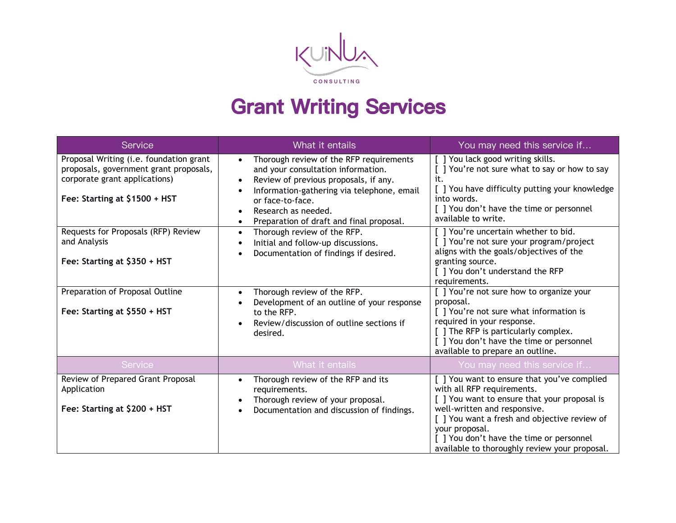

## **Grant Writing Services**

| Service                                                                                                                                                                                                                                                                                                       | What it entails                                                                                                                                                                                                                                                                                                                                                                                                                                                                                                                                         | You may need this service if                                                                                                                                                                                                                                                                                                                                                                                                                                                                                                                                                                                                                                                            |
|---------------------------------------------------------------------------------------------------------------------------------------------------------------------------------------------------------------------------------------------------------------------------------------------------------------|---------------------------------------------------------------------------------------------------------------------------------------------------------------------------------------------------------------------------------------------------------------------------------------------------------------------------------------------------------------------------------------------------------------------------------------------------------------------------------------------------------------------------------------------------------|-----------------------------------------------------------------------------------------------------------------------------------------------------------------------------------------------------------------------------------------------------------------------------------------------------------------------------------------------------------------------------------------------------------------------------------------------------------------------------------------------------------------------------------------------------------------------------------------------------------------------------------------------------------------------------------------|
| Proposal Writing (i.e. foundation grant<br>proposals, government grant proposals,<br>corporate grant applications)<br>Fee: Starting at \$1500 + HST<br>Requests for Proposals (RFP) Review<br>and Analysis<br>Fee: Starting at \$350 + HST<br>Preparation of Proposal Outline<br>Fee: Starting at \$550 + HST | Thorough review of the RFP requirements<br>and your consultation information.<br>Review of previous proposals, if any.<br>Information-gathering via telephone, email<br>or face-to-face.<br>Research as needed.<br>Preparation of draft and final proposal.<br>Thorough review of the RFP.<br>$\bullet$<br>Initial and follow-up discussions.<br>Documentation of findings if desired.<br>Thorough review of the RFP.<br>$\bullet$<br>Development of an outline of your response<br>to the RFP.<br>Review/discussion of outline sections if<br>desired. | ] You lack good writing skills.<br>] You're not sure what to say or how to say<br>it.<br>[ ] You have difficulty putting your knowledge<br>into words.<br>[ ] You don't have the time or personnel<br>available to write.<br>] You're uncertain whether to bid.<br>] You're not sure your program/project<br>aligns with the goals/objectives of the<br>granting source.<br>[ ] You don't understand the RFP<br>requirements.<br>[ ] You're not sure how to organize your<br>proposal.<br>[ ] You're not sure what information is<br>required in your response.<br>[ ] The RFP is particularly complex.<br>[ ] You don't have the time or personnel<br>available to prepare an outline. |
| Service                                                                                                                                                                                                                                                                                                       | What it entails                                                                                                                                                                                                                                                                                                                                                                                                                                                                                                                                         | You may need this service if                                                                                                                                                                                                                                                                                                                                                                                                                                                                                                                                                                                                                                                            |
| Review of Prepared Grant Proposal<br>Application<br>Fee: Starting at \$200 + HST                                                                                                                                                                                                                              | Thorough review of the RFP and its<br>requirements.<br>Thorough review of your proposal.<br>Documentation and discussion of findings.                                                                                                                                                                                                                                                                                                                                                                                                                   | [] You want to ensure that you've complied<br>with all RFP requirements.<br>] You want to ensure that your proposal is<br>well-written and responsive.<br>[ ] You want a fresh and objective review of<br>your proposal.<br>[ ] You don't have the time or personnel<br>available to thoroughly review your proposal.                                                                                                                                                                                                                                                                                                                                                                   |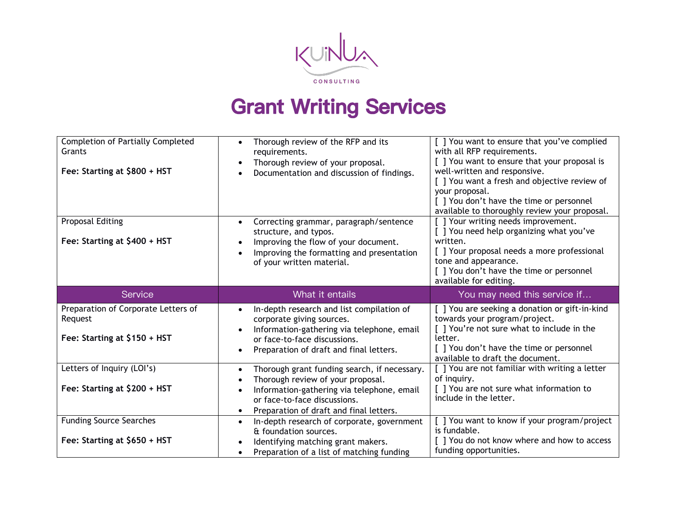

## **Grant Writing Services**

| <b>Completion of Partially Completed</b><br>Grants<br>Fee: Starting at \$800 + HST<br><b>Proposal Editing</b><br>Fee: Starting at \$400 + HST | Thorough review of the RFP and its<br>requirements.<br>Thorough review of your proposal.<br>Documentation and discussion of findings.<br>Correcting grammar, paragraph/sentence<br>structure, and typos.<br>Improving the flow of your document.<br>Improving the formatting and presentation<br>of your written material. | [] You want to ensure that you've complied<br>with all RFP requirements.<br>[] You want to ensure that your proposal is<br>well-written and responsive.<br>[ ] You want a fresh and objective review of<br>your proposal.<br>[ ] You don't have the time or personnel<br>available to thoroughly review your proposal.<br>[ ] Your writing needs improvement.<br>[ ] You need help organizing what you've<br>written.<br>[ ] Your proposal needs a more professional<br>tone and appearance.<br>[ ] You don't have the time or personnel<br>available for editing. |
|-----------------------------------------------------------------------------------------------------------------------------------------------|----------------------------------------------------------------------------------------------------------------------------------------------------------------------------------------------------------------------------------------------------------------------------------------------------------------------------|--------------------------------------------------------------------------------------------------------------------------------------------------------------------------------------------------------------------------------------------------------------------------------------------------------------------------------------------------------------------------------------------------------------------------------------------------------------------------------------------------------------------------------------------------------------------|
| Service                                                                                                                                       | What it entails                                                                                                                                                                                                                                                                                                            | You may need this service if                                                                                                                                                                                                                                                                                                                                                                                                                                                                                                                                       |
| Preparation of Corporate Letters of<br>Request<br>Fee: Starting at \$150 + HST                                                                | In-depth research and list compilation of<br>corporate giving sources.<br>Information-gathering via telephone, email<br>or face-to-face discussions.<br>Preparation of draft and final letters.                                                                                                                            | [ ] You are seeking a donation or gift-in-kind<br>towards your program/project.<br>[] You're not sure what to include in the<br>letter.<br>[ ] You don't have the time or personnel<br>available to draft the document.                                                                                                                                                                                                                                                                                                                                            |
| Letters of Inquiry (LOI's)<br>Fee: Starting at \$200 + HST                                                                                    | Thorough grant funding search, if necessary.<br>Thorough review of your proposal.<br>Information-gathering via telephone, email<br>or face-to-face discussions.<br>Preparation of draft and final letters.                                                                                                                 | [ ] You are not familiar with writing a letter<br>of inquiry.<br>[] You are not sure what information to<br>include in the letter.                                                                                                                                                                                                                                                                                                                                                                                                                                 |
| <b>Funding Source Searches</b><br>Fee: Starting at \$650 + HST                                                                                | In-depth research of corporate, government<br>& foundation sources.<br>Identifying matching grant makers.<br>Preparation of a list of matching funding                                                                                                                                                                     | [ ] You want to know if your program/project<br>is fundable.<br>[ ] You do not know where and how to access<br>funding opportunities.                                                                                                                                                                                                                                                                                                                                                                                                                              |